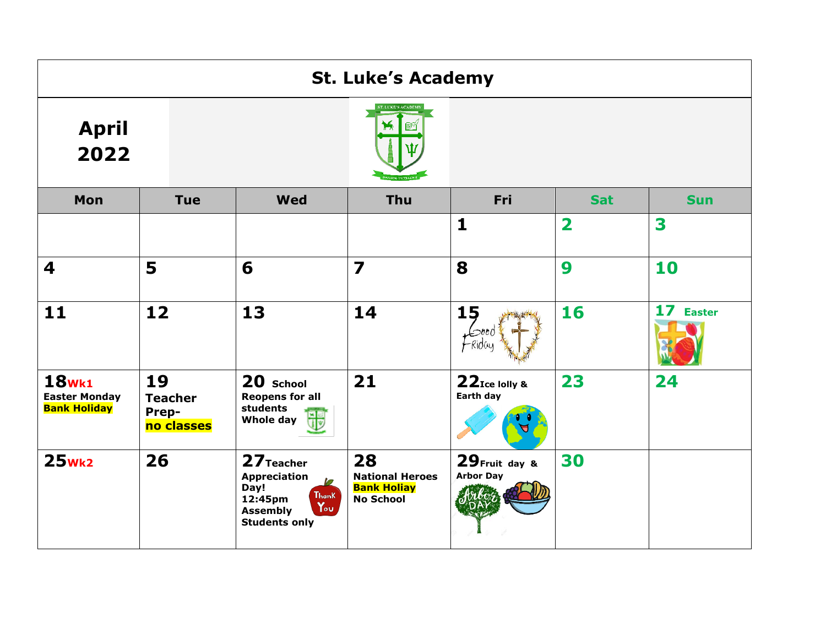| <b>St. Luke's Academy</b>                                   |                                             |                                                                                                                                                 |                                                                        |                                    |              |            |  |  |
|-------------------------------------------------------------|---------------------------------------------|-------------------------------------------------------------------------------------------------------------------------------------------------|------------------------------------------------------------------------|------------------------------------|--------------|------------|--|--|
| <b>April</b><br>2022                                        |                                             | <b>T. LUKE'S ACADEM</b>                                                                                                                         |                                                                        |                                    |              |            |  |  |
| Mon                                                         | <b>Tue</b>                                  | <b>Wed</b>                                                                                                                                      | Thu                                                                    | Fri                                | <b>Sat</b>   | <b>Sun</b> |  |  |
|                                                             |                                             |                                                                                                                                                 |                                                                        | $\mathbf{1}$                       | $\mathbf{2}$ | 3          |  |  |
| 4                                                           | 5                                           | 6                                                                                                                                               | $\overline{\mathbf{z}}$                                                | 8                                  | 9            | 10         |  |  |
| 11                                                          | 12                                          | 13                                                                                                                                              | 14                                                                     | 15                                 | 16           | 17 Easter  |  |  |
| <b>18wk1</b><br><b>Easter Monday</b><br><b>Bank Holiday</b> | 19<br><b>Teacher</b><br>Prep-<br>no classes | 20 School<br><b>Reopens for all</b><br>students<br>Whole day                                                                                    | 21                                                                     | 22Ice lolly &<br>Earth day         | 23           | 24         |  |  |
| $25$ <sub>Wk2</sub>                                         | 26                                          | 27 Teacher<br><b>Appreciation</b><br>M<br>Day!<br>Thank<br>12:45pm<br>$\mathsf{Y}_{\circ\mathsf{u}}$<br><b>Assembly</b><br><b>Students only</b> | 28<br><b>National Heroes</b><br><b>Bank Holiay</b><br><b>No School</b> | 29 Fruit day &<br><b>Arbor Day</b> | 30           |            |  |  |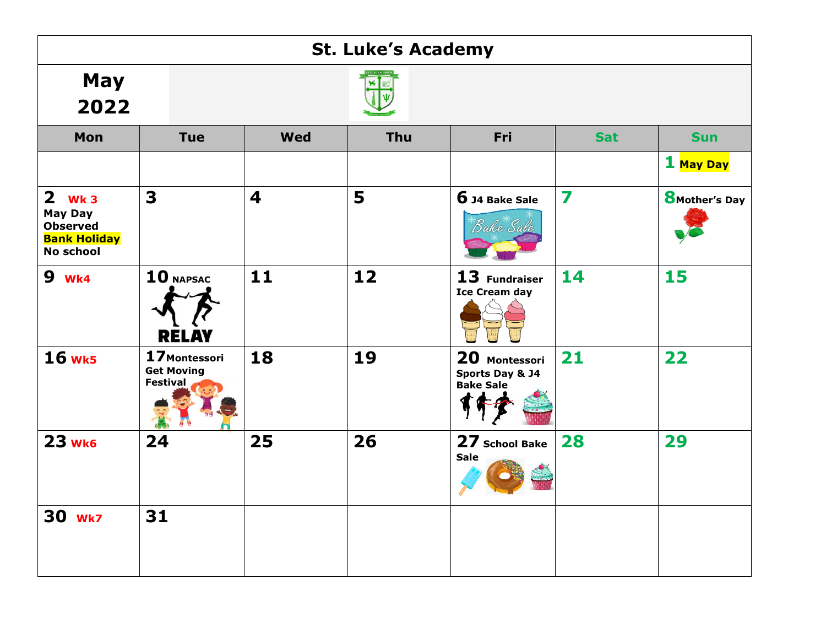| <b>St. Luke's Academy</b>                                                                |                                                       |                         |     |                                                      |                         |                        |  |
|------------------------------------------------------------------------------------------|-------------------------------------------------------|-------------------------|-----|------------------------------------------------------|-------------------------|------------------------|--|
| <b>May</b><br>2022                                                                       |                                                       |                         |     |                                                      |                         |                        |  |
| Mon                                                                                      | <b>Tue</b>                                            | <b>Wed</b>              | Thu | Fri                                                  | <b>Sat</b>              | <b>Sun</b>             |  |
|                                                                                          |                                                       |                         |     |                                                      |                         | 1 <mark>May Day</mark> |  |
| $2$ Wk 3<br><b>May Day</b><br><b>Observed</b><br><b>Bank Holiday</b><br><b>No school</b> | $\overline{\mathbf{3}}$                               | $\overline{\mathbf{4}}$ | 5   | 6 J4 Bake Sale<br>Bake Sale                          | $\overline{\mathbf{z}}$ | <b>8</b> Mother's Day  |  |
| <b>9</b> wk4                                                                             | $10$ NAPSAC<br><b>RELAY</b>                           | $11$                    | 12  | 13 Fundraiser<br><b>Ice Cream day</b>                | 14                      | 15                     |  |
| <b>16 wk5</b>                                                                            | 17 Montessori<br><b>Get Moving</b><br><b>Festival</b> | 18                      | 19  | 20 Montessori<br>Sports Day & J4<br><b>Bake Sale</b> | 21                      | 22                     |  |
| 23 wk6                                                                                   | 24                                                    | 25                      | 26  | 27 School Bake<br><b>Sale</b>                        | 28                      | 29                     |  |
| <b>30 Wk7</b>                                                                            | 31                                                    |                         |     |                                                      |                         |                        |  |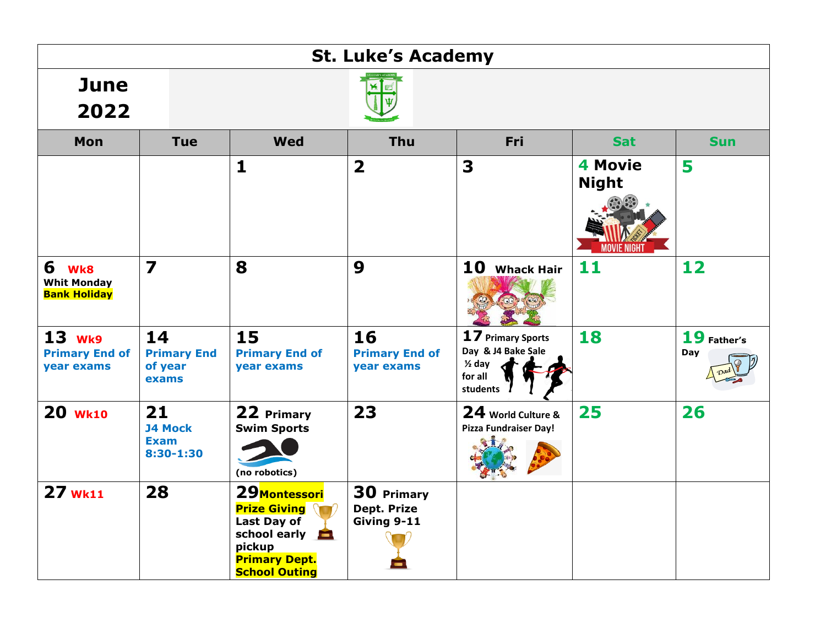| <b>St. Luke's Academy</b>                             |                                                  |                                                                                                                                          |                                           |                                                                                       |                                              |                    |  |  |
|-------------------------------------------------------|--------------------------------------------------|------------------------------------------------------------------------------------------------------------------------------------------|-------------------------------------------|---------------------------------------------------------------------------------------|----------------------------------------------|--------------------|--|--|
| <b>June</b><br>2022                                   |                                                  |                                                                                                                                          |                                           |                                                                                       |                                              |                    |  |  |
| <b>Mon</b>                                            | <b>Tue</b>                                       | Wed                                                                                                                                      | Thu                                       | Fri                                                                                   | <b>Sat</b>                                   | <b>Sun</b>         |  |  |
|                                                       |                                                  | 1                                                                                                                                        | $\overline{\mathbf{2}}$                   | 3                                                                                     | <b>4 Movie</b><br><b>Night</b><br>MOVIE NIGH | 5                  |  |  |
| 6<br>Wk8<br><b>Whit Monday</b><br><b>Bank Holiday</b> | $\overline{\mathbf{z}}$                          | 8                                                                                                                                        | $\boldsymbol{9}$                          | 10<br><b>Whack Hair</b>                                                               | 11                                           | 12                 |  |  |
| <b>13 Wk9</b><br><b>Primary End of</b><br>year exams  | 14<br><b>Primary End</b><br>of year<br>exams     | 15<br><b>Primary End of</b><br>year exams                                                                                                | 16<br><b>Primary End of</b><br>year exams | 17 Primary Sports<br>Day & J4 Bake Sale<br>$\frac{1}{2}$ day<br>for all<br>students / | 18                                           | 19 Father's<br>Day |  |  |
| 20 Wk10                                               | 21<br><b>J4 Mock</b><br><b>Exam</b><br>8:30-1:30 | 22 Primary<br><b>Swim Sports</b><br>(no robotics)                                                                                        | 23                                        | 24 World Culture &<br>Pizza Fundraiser Day!                                           | 25                                           | 26                 |  |  |
| 27 wk11                                               | 28                                               | 29 Montessori<br><b>Prize Giving \</b><br>Last Day of<br>school early <b>b</b><br>pickup<br><b>Primary Dept.</b><br><b>School Outing</b> | 30 Primary<br>Dept. Prize<br>Giving 9-11  |                                                                                       |                                              |                    |  |  |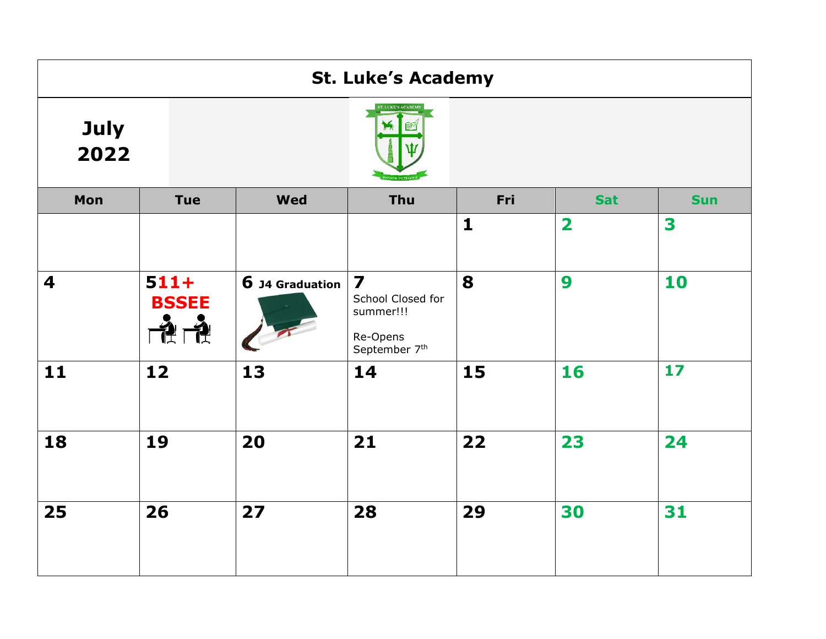|              |                                    |                 | <b>St. Luke's Academy</b>                                                              |              |                         |            |
|--------------|------------------------------------|-----------------|----------------------------------------------------------------------------------------|--------------|-------------------------|------------|
| July<br>2022 |                                    |                 | ST. LUKE'S ACADEM                                                                      |              |                         |            |
| Mon          | <b>Tue</b>                         | <b>Wed</b>      | Thu                                                                                    | Fri          | <b>Sat</b>              | <b>Sun</b> |
|              |                                    |                 |                                                                                        | $\mathbf{1}$ | $\overline{\mathbf{2}}$ | 3          |
| 4            | $511+$<br><b>BSSEE</b><br>刊<br>▜▜▘ | 6 J4 Graduation | $\overline{\mathbf{z}}$<br>School Closed for<br>summer!!!<br>Re-Opens<br>September 7th | 8            | 9                       | 10         |
| 11           | 12                                 | 13              | 14                                                                                     | 15           | 16                      | 17         |
| 18           | 19                                 | 20              | 21                                                                                     | 22           | 23                      | 24         |
| 25           | 26                                 | 27              | 28                                                                                     | 29           | 30                      | 31         |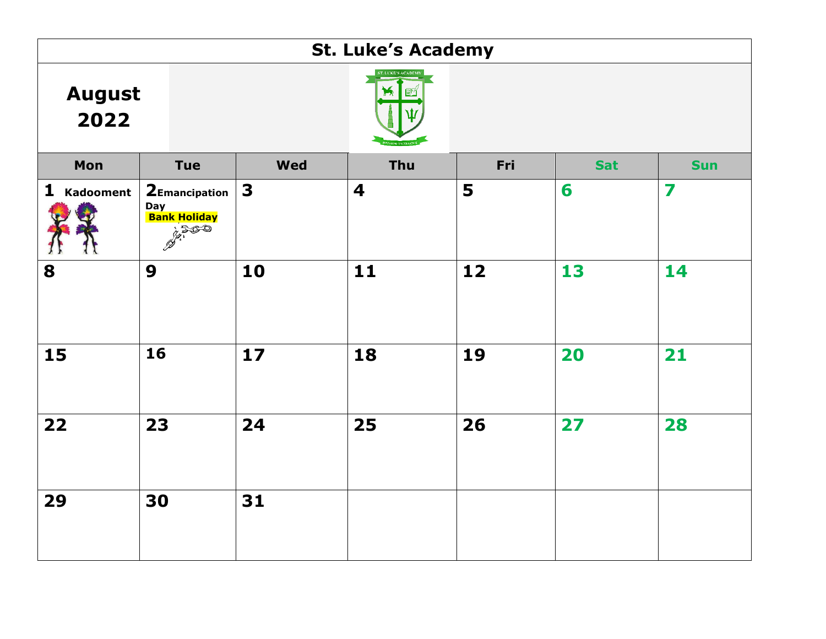| <b>St. Luke's Academy</b> |                                                           |            |                           |     |            |            |  |  |
|---------------------------|-----------------------------------------------------------|------------|---------------------------|-----|------------|------------|--|--|
| <b>August</b><br>2022     |                                                           |            | <b>ST. LEKE'S ACADEMY</b> |     |            |            |  |  |
| Mon                       | <b>Tue</b>                                                | <b>Wed</b> | Thu                       | Fri | <b>Sat</b> | <b>Sun</b> |  |  |
| 1 Kadooment               | 2Emancipation<br>Day<br><mark>Bank Holiday</mark><br>2500 | 3          | $\overline{\mathbf{4}}$   | 5   | 6          | 7          |  |  |
| 8                         | 9                                                         | 10         | 11                        | 12  | 13         | 14         |  |  |
| 15                        | 16                                                        | $17$       | 18                        | 19  | 20         | 21         |  |  |
| 22                        | 23                                                        | 24         | 25                        | 26  | 27         | 28         |  |  |
| 29                        | 30                                                        | 31         |                           |     |            |            |  |  |